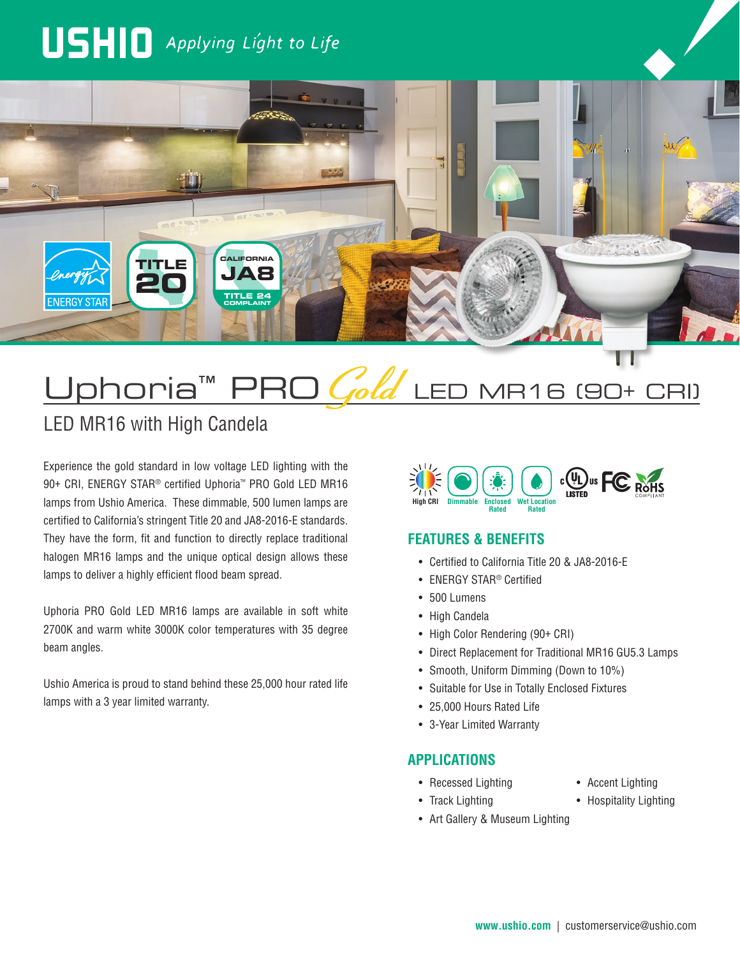# USHIO Applying Light to Life



# Uphoria™ PRO *Gold* LED MR16 (90+ CRI)

# LED MR16 with High Candela

Experience the gold standard in low voltage LED lighting with the 90+ CRI, ENERGY STAR® certified Uphoria™ PRO Gold LED MR16 lamps from Ushio America. These dimmable, 500 lumen lamps are certified to California's stringent Title 20 and JA8-2016-E standards. They have the form, fit and function to directly replace traditional halogen MR16 lamps and the unique optical design allows these lamps to deliver a highly efficient flood beam spread.

Uphoria PRO Gold LED MR16 lamps are available in soft white 2700K and warm white 3000K color temperatures with 35 degree beam angles.

Ushio America is proud to stand behind these 25,000 hour rated life lamps with a 3 year limited warranty.



### **FEATURES & BENEFITS**

- Certified to California Title 20 & JA8-2016-E
- ENERGY STAR® Certified
- 500 Lumens
- High Candela
- High Color Rendering (90+ CRI)
- Direct Replacement for Traditional MR16 GU5.3 Lamps
- Smooth, Uniform Dimming (Down to 10%)
- Suitable for Use in Totally Enclosed Fixtures
- 25,000 Hours Rated Life
- 3-Year Limited Warranty

#### **APPLICATIONS**

- Recessed Lighting
- Track Lighting
- Art Gallery & Museum Lighting
- Accent Lighting
- Hospitality Lighting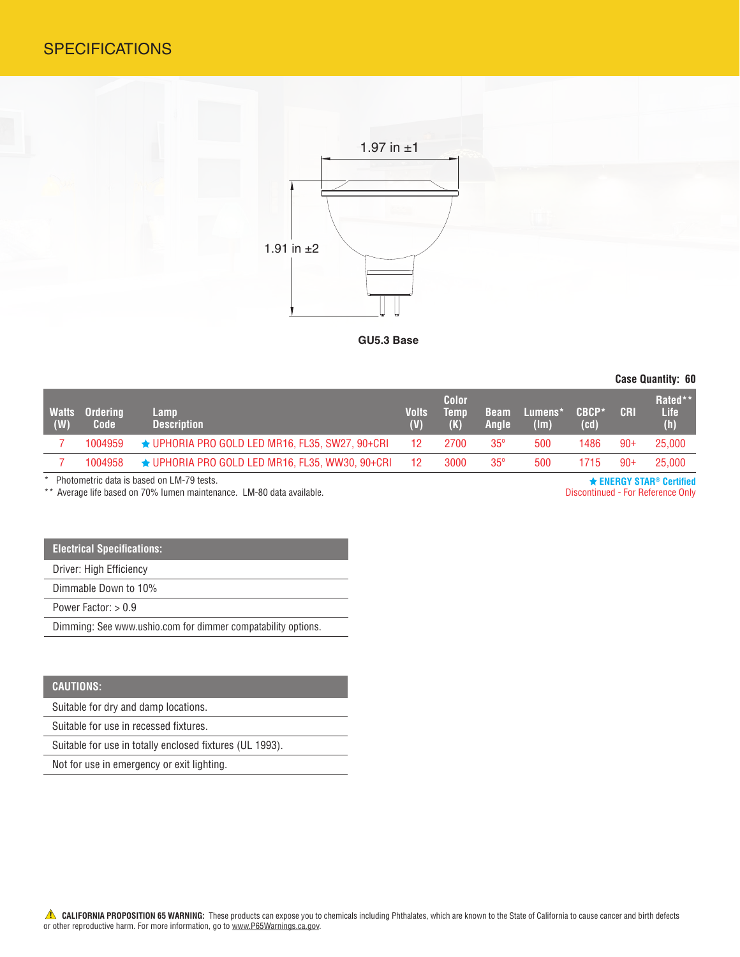## **SPECIFICATIONS**



**GU5.3 Base**

**Case Quantity: 60**

| <b>Watts</b><br>(W) | <b>Ordering</b><br>Code | Lamp<br><b>Description</b>                            | <b>Volts</b><br>(V) | Color<br><b>Temp</b> | <b>Beam</b><br><b>Angle</b> | <b>Lumens*</b><br>$(\mathsf{Im})$ | CBCP*<br>(cd) | <b>CRI</b> | Rated**<br>Life<br>(h) |
|---------------------|-------------------------|-------------------------------------------------------|---------------------|----------------------|-----------------------------|-----------------------------------|---------------|------------|------------------------|
|                     | 1004959                 | $\star$ UPHORIA PRO GOLD LED MR16, FL35, SW27, 90+CRI | 12 <sup>°</sup>     | 2700                 | $35^\circ$                  | 500                               | 1486          | $90+$      | 25,000                 |
|                     | 1004958                 | $\star$ UPHORIA PRO GOLD LED MR16, FL35, WW30, 90+CRI | 12                  | 3000                 | $35^\circ$                  | 500                               | 1715          | $90+$      | 25,000                 |
|                     |                         |                                                       |                     |                      |                             |                                   |               |            |                        |

\* Photometric data is based on LM-79 tests.

\*\* Average life based on 70% lumen maintenance. LM-80 data available.

 **ENERGY STAR® Certified** Discontinued - For Reference Only

#### **Electrical Specifications:**

Driver: High Efficiency

Dimmable Down to 10%

Power Factor: > 0.9

Dimming: See www.ushio.com for dimmer compatability options.

#### **CAUTIONS:**

Suitable for dry and damp locations.

Suitable for use in recessed fixtures.

Suitable for use in totally enclosed fixtures (UL 1993).

Not for use in emergency or exit lighting.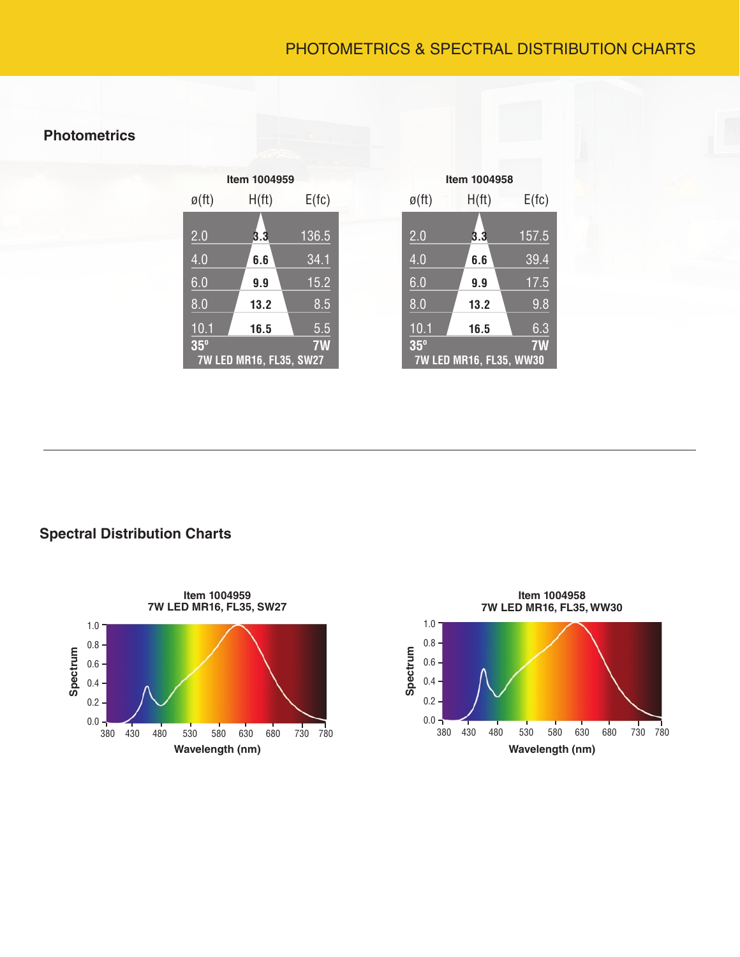# PHOTOMETRICS & SPECTRAL DISTRIBUTION CHARTS

## **Photometrics**

| Item 1004959                |       |       |  |  |  |
|-----------------------------|-------|-------|--|--|--|
| $\mathfrak{g}(\mathsf{ft})$ | H(ft) | E(fc) |  |  |  |
| 2.0                         | 3.3   | 136.5 |  |  |  |
| 4.0                         | 6.6   | 34.1  |  |  |  |
| 6.0                         | 9.9   | 15.2  |  |  |  |
| $\overline{8.0}$            | 13.2  | 8.5   |  |  |  |
| $\overline{10.1}$           | 16.5  | 5.5   |  |  |  |
| $35^\circ$                  |       | 7W    |  |  |  |
| 7W LED MR16, FL35, SW27     |       |       |  |  |  |

| Item 1004958 |                    |                         |          |  |  |  |
|--------------|--------------------|-------------------------|----------|--|--|--|
|              | $\varnothing$ (ft) | $H({\rm ft})$           | $E$ (fc) |  |  |  |
|              | $\overline{2.0}$   | 3.3                     | 157.5    |  |  |  |
|              | 4.0                | 6.6                     | 39.4     |  |  |  |
|              | 6.0                | 9.9                     | 17.5     |  |  |  |
|              | 8.0                | 13.2                    | 9.8      |  |  |  |
|              | 10.1               | 16.5                    | 6.3      |  |  |  |
|              | $35^\circ$         | 7W LED MR16, FL35, WW30 | 7W       |  |  |  |

**Spectral Distribution Charts**